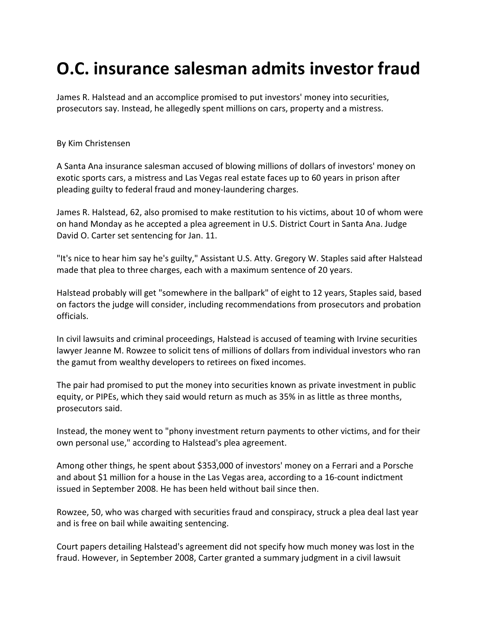## O.C. insurance salesman admits investor fraud

James R. Halstead and an accomplice promised to put investors' money into securities, prosecutors say. Instead, he allegedly spent millions on cars, property and a mistress.

## By Kim Christensen

A Santa Ana insurance salesman accused of blowing millions of dollars of investors' money on exotic sports cars, a mistress and Las Vegas real estate faces up to 60 years in prison after pleading guilty to federal fraud and money-laundering charges.

James R. Halstead, 62, also promised to make restitution to his victims, about 10 of whom were on hand Monday as he accepted a plea agreement in U.S. District Court in Santa Ana. Judge David O. Carter set sentencing for Jan. 11.

"It's nice to hear him say he's guilty," Assistant U.S. Atty. Gregory W. Staples said after Halstead made that plea to three charges, each with a maximum sentence of 20 years.

Halstead probably will get "somewhere in the ballpark" of eight to 12 years, Staples said, based on factors the judge will consider, including recommendations from prosecutors and probation officials.

In civil lawsuits and criminal proceedings, Halstead is accused of teaming with Irvine securities lawyer Jeanne M. Rowzee to solicit tens of millions of dollars from individual investors who ran the gamut from wealthy developers to retirees on fixed incomes.

The pair had promised to put the money into securities known as private investment in public equity, or PIPEs, which they said would return as much as 35% in as little as three months, prosecutors said.

Instead, the money went to "phony investment return payments to other victims, and for their own personal use," according to Halstead's plea agreement.

Among other things, he spent about \$353,000 of investors' money on a Ferrari and a Porsche and about \$1 million for a house in the Las Vegas area, according to a 16-count indictment issued in September 2008. He has been held without bail since then.

Rowzee, 50, who was charged with securities fraud and conspiracy, struck a plea deal last year and is free on bail while awaiting sentencing.

Court papers detailing Halstead's agreement did not specify how much money was lost in the fraud. However, in September 2008, Carter granted a summary judgment in a civil lawsuit